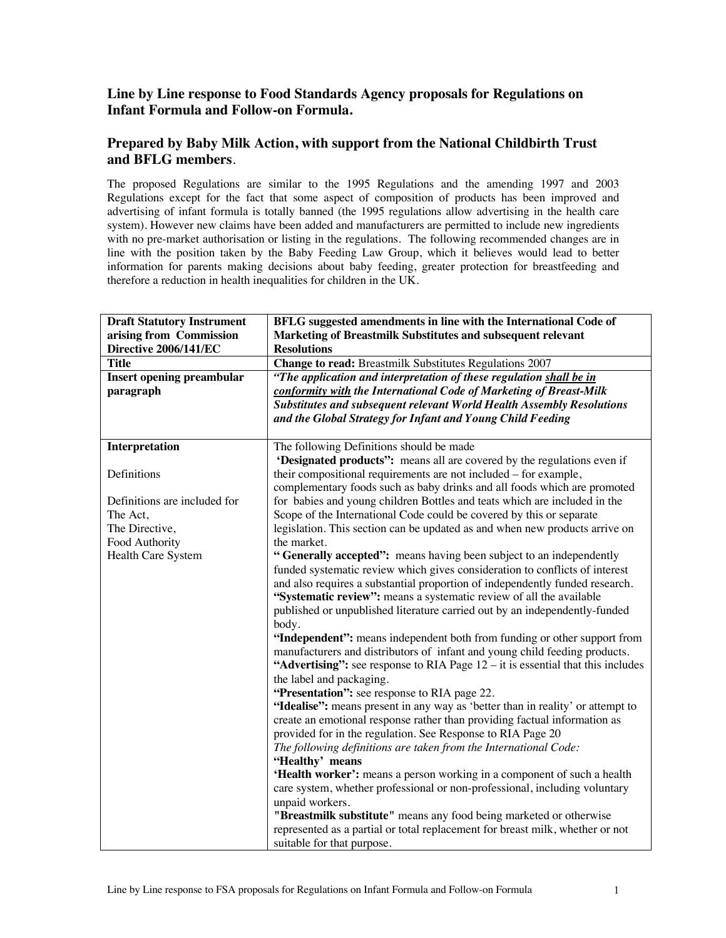# **Line by Line response to Food Standards Agency proposals for Regulations on Infant Formula and Follow-on Formula.**

# **Prepared by Baby Milk Action, with support from the National Childbirth Trust and BFLG members**.

The proposed Regulations are similar to the 1995 Regulations and the amending 1997 and 2003 Regulations except for the fact that some aspect of composition of products has been improved and advertising of infant formula is totally banned (the 1995 regulations allow advertising in the health care system). However new claims have been added and manufacturers are permitted to include new ingredients with no pre-market authorisation or listing in the regulations. The following recommended changes are in line with the position taken by the Baby Feeding Law Group, which it believes would lead to better information for parents making decisions about baby feeding, greater protection for breastfeeding and therefore a reduction in health inequalities for children in the UK.

| <b>Draft Statutory Instrument</b> | BFLG suggested amendments in line with the International Code of                                                                                       |
|-----------------------------------|--------------------------------------------------------------------------------------------------------------------------------------------------------|
| arising from Commission           | Marketing of Breastmilk Substitutes and subsequent relevant                                                                                            |
| Directive 2006/141/EC             | <b>Resolutions</b>                                                                                                                                     |
| <b>Title</b>                      | Change to read: Breastmilk Substitutes Regulations 2007                                                                                                |
| <b>Insert opening preambular</b>  | "The application and interpretation of these regulation shall be in                                                                                    |
| paragraph                         | conformity with the International Code of Marketing of Breast-Milk                                                                                     |
|                                   | <b>Substitutes and subsequent relevant World Health Assembly Resolutions</b>                                                                           |
|                                   | and the Global Strategy for Infant and Young Child Feeding                                                                                             |
|                                   |                                                                                                                                                        |
| Interpretation                    | The following Definitions should be made                                                                                                               |
|                                   | 'Designated products'': means all are covered by the regulations even if                                                                               |
| Definitions                       | their compositional requirements are not included – for example,                                                                                       |
|                                   | complementary foods such as baby drinks and all foods which are promoted                                                                               |
| Definitions are included for      | for babies and young children Bottles and teats which are included in the                                                                              |
| The Act,                          | Scope of the International Code could be covered by this or separate                                                                                   |
| The Directive,                    | legislation. This section can be updated as and when new products arrive on                                                                            |
| Food Authority                    | the market.                                                                                                                                            |
| Health Care System                | "Generally accepted": means having been subject to an independently                                                                                    |
|                                   | funded systematic review which gives consideration to conflicts of interest                                                                            |
|                                   | and also requires a substantial proportion of independently funded research.                                                                           |
|                                   | "Systematic review": means a systematic review of all the available                                                                                    |
|                                   | published or unpublished literature carried out by an independently-funded                                                                             |
|                                   | body.                                                                                                                                                  |
|                                   | "Independent": means independent both from funding or other support from<br>manufacturers and distributors of infant and young child feeding products. |
|                                   | "Advertising": see response to RIA Page $12 - it$ is essential that this includes                                                                      |
|                                   | the label and packaging.                                                                                                                               |
|                                   | "Presentation": see response to RIA page 22.                                                                                                           |
|                                   | "Idealise": means present in any way as 'better than in reality' or attempt to                                                                         |
|                                   | create an emotional response rather than providing factual information as                                                                              |
|                                   | provided for in the regulation. See Response to RIA Page 20                                                                                            |
|                                   | The following definitions are taken from the International Code:                                                                                       |
|                                   | "Healthy' means                                                                                                                                        |
|                                   | 'Health worker': means a person working in a component of such a health                                                                                |
|                                   | care system, whether professional or non-professional, including voluntary                                                                             |
|                                   | unpaid workers.                                                                                                                                        |
|                                   | "Breastmilk substitute" means any food being marketed or otherwise                                                                                     |
|                                   | represented as a partial or total replacement for breast milk, whether or not                                                                          |
|                                   | suitable for that purpose.                                                                                                                             |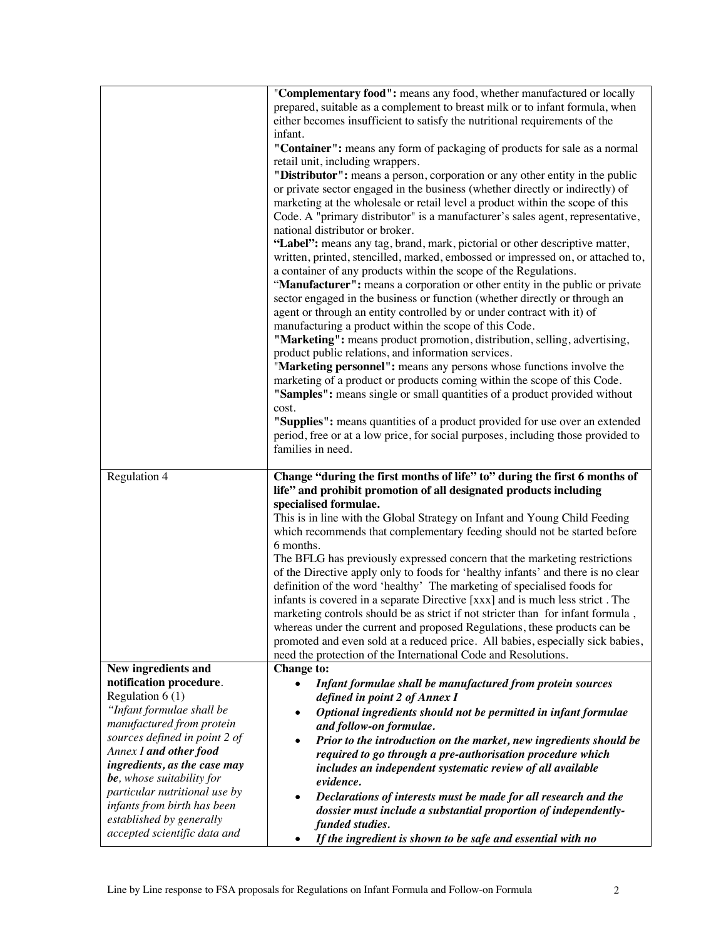|                                                         | "Complementary food": means any food, whether manufactured or locally<br>prepared, suitable as a complement to breast milk or to infant formula, when<br>either becomes insufficient to satisfy the nutritional requirements of the<br>infant.<br>"Container": means any form of packaging of products for sale as a normal<br>retail unit, including wrappers.<br>"Distributor": means a person, corporation or any other entity in the public<br>or private sector engaged in the business (whether directly or indirectly) of<br>marketing at the wholesale or retail level a product within the scope of this<br>Code. A "primary distributor" is a manufacturer's sales agent, representative,<br>national distributor or broker.<br>"Label": means any tag, brand, mark, pictorial or other descriptive matter,<br>written, printed, stencilled, marked, embossed or impressed on, or attached to,<br>a container of any products within the scope of the Regulations.<br>"Manufacturer": means a corporation or other entity in the public or private<br>sector engaged in the business or function (whether directly or through an<br>agent or through an entity controlled by or under contract with it) of<br>manufacturing a product within the scope of this Code.<br>"Marketing": means product promotion, distribution, selling, advertising,<br>product public relations, and information services.<br>"Marketing personnel": means any persons whose functions involve the<br>marketing of a product or products coming within the scope of this Code.<br>"Samples": means single or small quantities of a product provided without<br>cost.<br>"Supplies": means quantities of a product provided for use over an extended<br>period, free or at a low price, for social purposes, including those provided to<br>families in need. |
|---------------------------------------------------------|------------------------------------------------------------------------------------------------------------------------------------------------------------------------------------------------------------------------------------------------------------------------------------------------------------------------------------------------------------------------------------------------------------------------------------------------------------------------------------------------------------------------------------------------------------------------------------------------------------------------------------------------------------------------------------------------------------------------------------------------------------------------------------------------------------------------------------------------------------------------------------------------------------------------------------------------------------------------------------------------------------------------------------------------------------------------------------------------------------------------------------------------------------------------------------------------------------------------------------------------------------------------------------------------------------------------------------------------------------------------------------------------------------------------------------------------------------------------------------------------------------------------------------------------------------------------------------------------------------------------------------------------------------------------------------------------------------------------------------------------------------------------------------------------------------------------------------------------------|
| Regulation 4                                            | Change "during the first months of life" to" during the first 6 months of<br>life" and prohibit promotion of all designated products including<br>specialised formulae.                                                                                                                                                                                                                                                                                                                                                                                                                                                                                                                                                                                                                                                                                                                                                                                                                                                                                                                                                                                                                                                                                                                                                                                                                                                                                                                                                                                                                                                                                                                                                                                                                                                                              |
|                                                         | This is in line with the Global Strategy on Infant and Young Child Feeding<br>which recommends that complementary feeding should not be started before<br>6 months.                                                                                                                                                                                                                                                                                                                                                                                                                                                                                                                                                                                                                                                                                                                                                                                                                                                                                                                                                                                                                                                                                                                                                                                                                                                                                                                                                                                                                                                                                                                                                                                                                                                                                  |
|                                                         | The BFLG has previously expressed concern that the marketing restrictions<br>of the Directive apply only to foods for 'healthy infants' and there is no clear                                                                                                                                                                                                                                                                                                                                                                                                                                                                                                                                                                                                                                                                                                                                                                                                                                                                                                                                                                                                                                                                                                                                                                                                                                                                                                                                                                                                                                                                                                                                                                                                                                                                                        |
|                                                         | definition of the word 'healthy' The marketing of specialised foods for<br>infants is covered in a separate Directive [xxx] and is much less strict. The<br>marketing controls should be as strict if not stricter than for infant formula                                                                                                                                                                                                                                                                                                                                                                                                                                                                                                                                                                                                                                                                                                                                                                                                                                                                                                                                                                                                                                                                                                                                                                                                                                                                                                                                                                                                                                                                                                                                                                                                           |
|                                                         | whereas under the current and proposed Regulations, these products can be<br>promoted and even sold at a reduced price. All babies, especially sick babies,                                                                                                                                                                                                                                                                                                                                                                                                                                                                                                                                                                                                                                                                                                                                                                                                                                                                                                                                                                                                                                                                                                                                                                                                                                                                                                                                                                                                                                                                                                                                                                                                                                                                                          |
| New ingredients and                                     | need the protection of the International Code and Resolutions.<br><b>Change to:</b>                                                                                                                                                                                                                                                                                                                                                                                                                                                                                                                                                                                                                                                                                                                                                                                                                                                                                                                                                                                                                                                                                                                                                                                                                                                                                                                                                                                                                                                                                                                                                                                                                                                                                                                                                                  |
| notification procedure.                                 | Infant formulae shall be manufactured from protein sources                                                                                                                                                                                                                                                                                                                                                                                                                                                                                                                                                                                                                                                                                                                                                                                                                                                                                                                                                                                                                                                                                                                                                                                                                                                                                                                                                                                                                                                                                                                                                                                                                                                                                                                                                                                           |
| Regulation $6(1)$<br>"Infant formulae shall be          | defined in point 2 of Annex I                                                                                                                                                                                                                                                                                                                                                                                                                                                                                                                                                                                                                                                                                                                                                                                                                                                                                                                                                                                                                                                                                                                                                                                                                                                                                                                                                                                                                                                                                                                                                                                                                                                                                                                                                                                                                        |
| manufactured from protein                               | Optional ingredients should not be permitted in infant formulae<br>and follow-on formulae.                                                                                                                                                                                                                                                                                                                                                                                                                                                                                                                                                                                                                                                                                                                                                                                                                                                                                                                                                                                                                                                                                                                                                                                                                                                                                                                                                                                                                                                                                                                                                                                                                                                                                                                                                           |
| sources defined in point 2 of                           | Prior to the introduction on the market, new ingredients should be                                                                                                                                                                                                                                                                                                                                                                                                                                                                                                                                                                                                                                                                                                                                                                                                                                                                                                                                                                                                                                                                                                                                                                                                                                                                                                                                                                                                                                                                                                                                                                                                                                                                                                                                                                                   |
| Annex I and other food<br>ingredients, as the case may  | required to go through a pre-authorisation procedure which                                                                                                                                                                                                                                                                                                                                                                                                                                                                                                                                                                                                                                                                                                                                                                                                                                                                                                                                                                                                                                                                                                                                                                                                                                                                                                                                                                                                                                                                                                                                                                                                                                                                                                                                                                                           |
| be, whose suitability for                               | includes an independent systematic review of all available<br>evidence.                                                                                                                                                                                                                                                                                                                                                                                                                                                                                                                                                                                                                                                                                                                                                                                                                                                                                                                                                                                                                                                                                                                                                                                                                                                                                                                                                                                                                                                                                                                                                                                                                                                                                                                                                                              |
| particular nutritional use by                           | Declarations of interests must be made for all research and the                                                                                                                                                                                                                                                                                                                                                                                                                                                                                                                                                                                                                                                                                                                                                                                                                                                                                                                                                                                                                                                                                                                                                                                                                                                                                                                                                                                                                                                                                                                                                                                                                                                                                                                                                                                      |
| infants from birth has been<br>established by generally | dossier must include a substantial proportion of independently-<br>funded studies.                                                                                                                                                                                                                                                                                                                                                                                                                                                                                                                                                                                                                                                                                                                                                                                                                                                                                                                                                                                                                                                                                                                                                                                                                                                                                                                                                                                                                                                                                                                                                                                                                                                                                                                                                                   |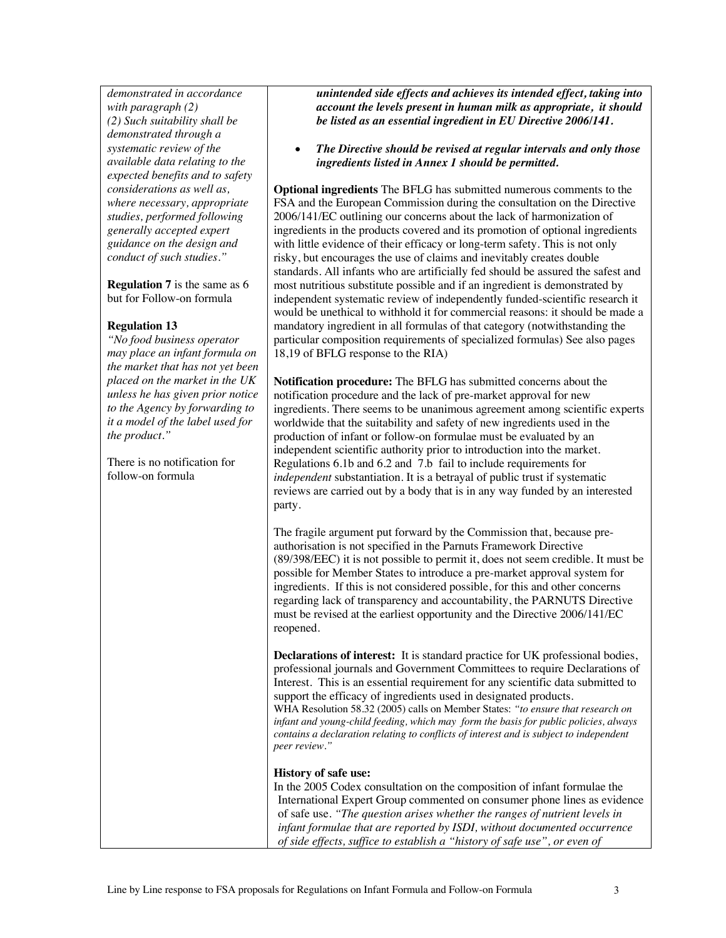*demonstrated in accordance with paragraph (2) (2) Such suitability shall be demonstrated through a systematic review of the available data relating to the expected benefits and to safety considerations as well as, where necessary, appropriate studies, performed following generally accepted expert guidance on the design and conduct of such studies."*

**Regulation 7** is the same as 6 but for Follow-on formula

## **Regulation 13**

*"No food business operator may place an infant formula on the market that has not yet been placed on the market in the UK unless he has given prior notice to the Agency by forwarding to it a model of the label used for the product."* 

There is no notification for follow-on formula

*unintended side effects and achieves its intended effect, taking into account the levels present in human milk as appropriate, it should be listed as an essential ingredient in EU Directive 2006/141.* 

• *The Directive should be revised at regular intervals and only those ingredients listed in Annex 1 should be permitted.* 

**Optional ingredients** The BFLG has submitted numerous comments to the FSA and the European Commission during the consultation on the Directive 2006/141/EC outlining our concerns about the lack of harmonization of ingredients in the products covered and its promotion of optional ingredients with little evidence of their efficacy or long-term safety. This is not only risky, but encourages the use of claims and inevitably creates double standards. All infants who are artificially fed should be assured the safest and most nutritious substitute possible and if an ingredient is demonstrated by independent systematic review of independently funded-scientific research it would be unethical to withhold it for commercial reasons: it should be made a mandatory ingredient in all formulas of that category (notwithstanding the particular composition requirements of specialized formulas) See also pages 18,19 of BFLG response to the RIA)

**Notification procedure:** The BFLG has submitted concerns about the notification procedure and the lack of pre-market approval for new ingredients. There seems to be unanimous agreement among scientific experts worldwide that the suitability and safety of new ingredients used in the production of infant or follow-on formulae must be evaluated by an independent scientific authority prior to introduction into the market. Regulations 6.1b and 6.2 and 7.b fail to include requirements for *independent* substantiation. It is a betrayal of public trust if systematic reviews are carried out by a body that is in any way funded by an interested party.

The fragile argument put forward by the Commission that, because preauthorisation is not specified in the Parnuts Framework Directive (89/398/EEC) it is not possible to permit it, does not seem credible. It must be possible for Member States to introduce a pre-market approval system for ingredients. If this is not considered possible, for this and other concerns regarding lack of transparency and accountability, the PARNUTS Directive must be revised at the earliest opportunity and the Directive 2006/141/EC reopened.

**Declarations of interest:** It is standard practice for UK professional bodies, professional journals and Government Committees to require Declarations of Interest. This is an essential requirement for any scientific data submitted to support the efficacy of ingredients used in designated products. WHA Resolution 58.32 (2005) calls on Member States: *"to ensure that research on infant and young-child feeding, which may form the basis for public policies, always contains a declaration relating to conflicts of interest and is subject to independent peer review."*

### **History of safe use:**

In the 2005 Codex consultation on the composition of infant formulae the International Expert Group commented on consumer phone lines as evidence of safe use. *"The question arises whether the ranges of nutrient levels in infant formulae that are reported by ISDI, without documented occurrence of side effects, suffice to establish a "history of safe use", or even of*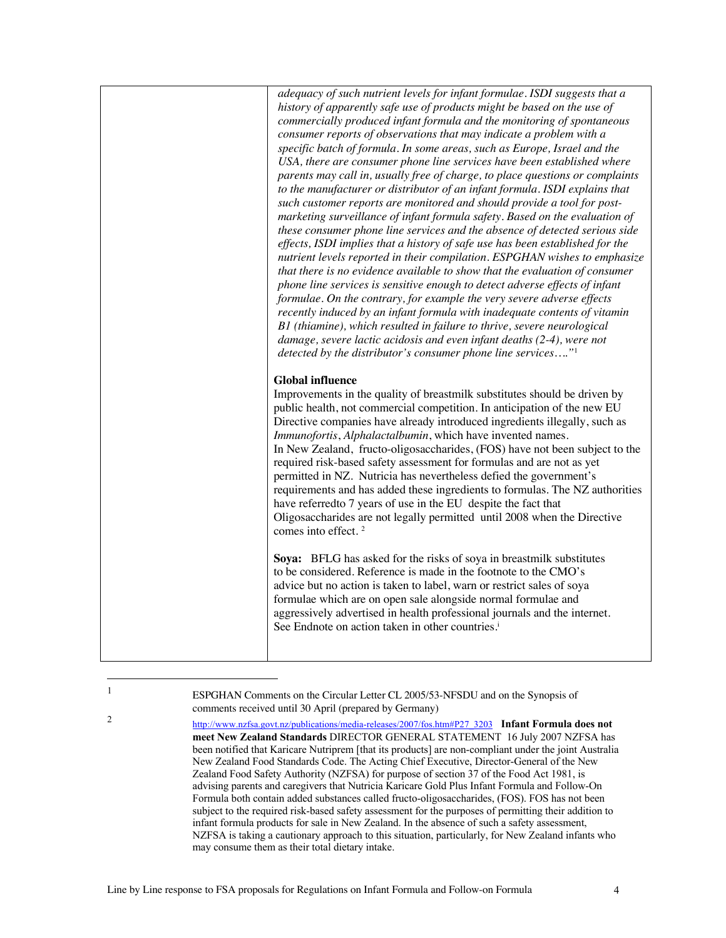*adequacy of such nutrient levels for infant formulae. ISDI suggests that a history of apparently safe use of products might be based on the use of commercially produced infant formula and the monitoring of spontaneous consumer reports of observations that may indicate a problem with a specific batch of formula. In some areas, such as Europe, Israel and the USA, there are consumer phone line services have been established where parents may call in, usually free of charge, to place questions or complaints to the manufacturer or distributor of an infant formula. ISDI explains that such customer reports are monitored and should provide a tool for postmarketing surveillance of infant formula safety. Based on the evaluation of these consumer phone line services and the absence of detected serious side effects, ISDI implies that a history of safe use has been established for the nutrient levels reported in their compilation. ESPGHAN wishes to emphasize that there is no evidence available to show that the evaluation of consumer phone line services is sensitive enough to detect adverse effects of infant formulae. On the contrary, for example the very severe adverse effects recently induced by an infant formula with inadequate contents of vitamin B1 (thiamine), which resulted in failure to thrive, severe neurological damage, severe lactic acidosis and even infant deaths (2-4), were not detected by the distributor's consumer phone line services…."*1 **Global influence** Improvements in the quality of breastmilk substitutes should be driven by public health, not commercial competition. In anticipation of the new EU Directive companies have already introduced ingredients illegally, such as *Immunofortis*, *Alphalactalbumin*, which have invented names. In New Zealand, fructo-oligosaccharides, (FOS) have not been subject to the required risk-based safety assessment for formulas and are not as yet permitted in NZ. Nutricia has nevertheless defied the government's requirements and has added these ingredients to formulas. The NZ authorities have referredto 7 years of use in the EU despite the fact that Oligosaccharides are not legally permitted until 2008 when the Directive comes into effect. <sup>2</sup> **Soya:** BFLG has asked for the risks of soya in breastmilk substitutes to be considered. Reference is made in the footnote to the CMO's advice but no action is taken to label, warn or restrict sales of soya formulae which are on open sale alongside normal formulae and

<sup>1</sup> ESPGHAN Comments on the Circular Letter CL 2005/53-NFSDU and on the Synopsis of comments received until 30 April (prepared by Germany)

See Endnote on action taken in other countries.<sup>i</sup>

<sup>2</sup> http://www.nzfsa.govt.nz/publications/media-releases/2007/fos.htm#P27\_3203 **Infant Formula does not meet New Zealand Standards** DIRECTOR GENERAL STATEMENT 16 July 2007 NZFSA has been notified that Karicare Nutriprem [that its products] are non-compliant under the joint Australia New Zealand Food Standards Code. The Acting Chief Executive, Director-General of the New Zealand Food Safety Authority (NZFSA) for purpose of section 37 of the Food Act 1981, is advising parents and caregivers that Nutricia Karicare Gold Plus Infant Formula and Follow-On Formula both contain added substances called fructo-oligosaccharides, (FOS). FOS has not been subject to the required risk-based safety assessment for the purposes of permitting their addition to infant formula products for sale in New Zealand. In the absence of such a safety assessment, NZFSA is taking a cautionary approach to this situation, particularly, for New Zealand infants who may consume them as their total dietary intake.

aggressively advertised in health professional journals and the internet.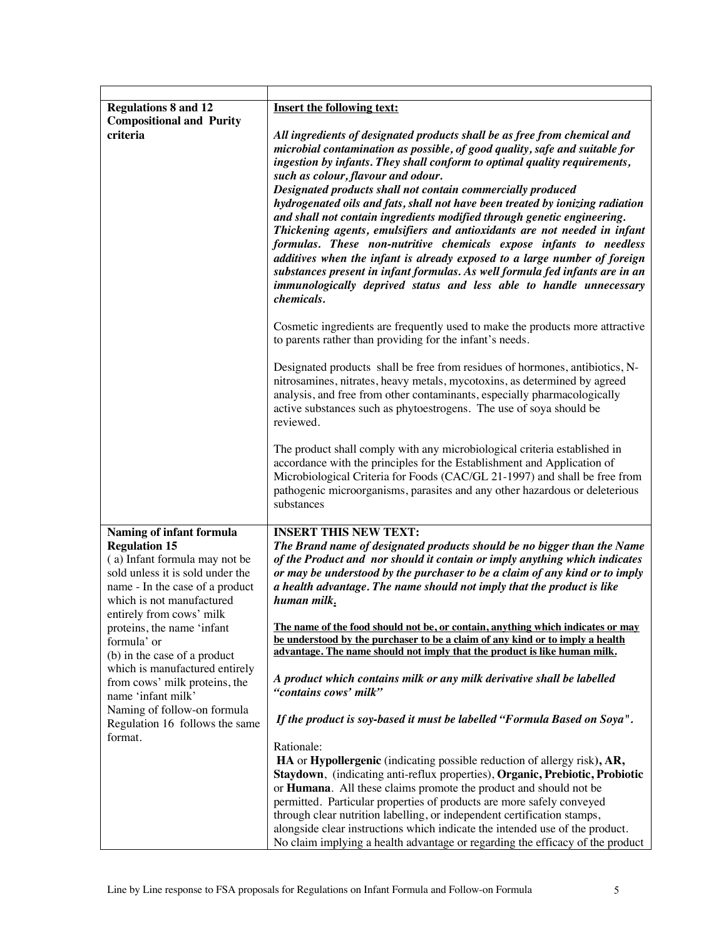| <b>Regulations 8 and 12</b>                                                                                                                                                                                                                                                                                                                                 | <b>Insert the following text:</b>                                                                                                                                                                                                                                                                                                                                                                                                                                                                                                                                                                                                                                                                                                                                                                                                                                                                                 |
|-------------------------------------------------------------------------------------------------------------------------------------------------------------------------------------------------------------------------------------------------------------------------------------------------------------------------------------------------------------|-------------------------------------------------------------------------------------------------------------------------------------------------------------------------------------------------------------------------------------------------------------------------------------------------------------------------------------------------------------------------------------------------------------------------------------------------------------------------------------------------------------------------------------------------------------------------------------------------------------------------------------------------------------------------------------------------------------------------------------------------------------------------------------------------------------------------------------------------------------------------------------------------------------------|
| <b>Compositional and Purity</b><br>criteria                                                                                                                                                                                                                                                                                                                 | All ingredients of designated products shall be as free from chemical and<br>microbial contamination as possible, of good quality, safe and suitable for<br>ingestion by infants. They shall conform to optimal quality requirements,<br>such as colour, flavour and odour.<br>Designated products shall not contain commercially produced<br>hydrogenated oils and fats, shall not have been treated by ionizing radiation<br>and shall not contain ingredients modified through genetic engineering.<br>Thickening agents, emulsifiers and antioxidants are not needed in infant<br>formulas. These non-nutritive chemicals expose infants to needless<br>additives when the infant is already exposed to a large number of foreign<br>substances present in infant formulas. As well formula fed infants are in an<br>immunologically deprived status and less able to handle unnecessary<br><i>chemicals.</i> |
|                                                                                                                                                                                                                                                                                                                                                             | Cosmetic ingredients are frequently used to make the products more attractive<br>to parents rather than providing for the infant's needs.                                                                                                                                                                                                                                                                                                                                                                                                                                                                                                                                                                                                                                                                                                                                                                         |
|                                                                                                                                                                                                                                                                                                                                                             | Designated products shall be free from residues of hormones, antibiotics, N-<br>nitrosamines, nitrates, heavy metals, mycotoxins, as determined by agreed<br>analysis, and free from other contaminants, especially pharmacologically<br>active substances such as phytoestrogens. The use of soya should be<br>reviewed.                                                                                                                                                                                                                                                                                                                                                                                                                                                                                                                                                                                         |
|                                                                                                                                                                                                                                                                                                                                                             | The product shall comply with any microbiological criteria established in<br>accordance with the principles for the Establishment and Application of<br>Microbiological Criteria for Foods (CAC/GL 21-1997) and shall be free from<br>pathogenic microorganisms, parasites and any other hazardous or deleterious<br>substances                                                                                                                                                                                                                                                                                                                                                                                                                                                                                                                                                                                   |
| Naming of infant formula                                                                                                                                                                                                                                                                                                                                    | <b>INSERT THIS NEW TEXT:</b>                                                                                                                                                                                                                                                                                                                                                                                                                                                                                                                                                                                                                                                                                                                                                                                                                                                                                      |
| <b>Regulation 15</b><br>(a) Infant formula may not be<br>sold unless it is sold under the<br>name - In the case of a product<br>which is not manufactured<br>entirely from cows' milk<br>proteins, the name 'infant<br>formula' or<br>(b) in the case of a product<br>which is manufactured entirely<br>from cows' milk proteins, the<br>name 'infant milk' | The Brand name of designated products should be no bigger than the Name<br>of the Product and nor should it contain or imply anything which indicates<br>or may be understood by the purchaser to be a claim of any kind or to imply<br>a health advantage. The name should not imply that the product is like<br>human milk.                                                                                                                                                                                                                                                                                                                                                                                                                                                                                                                                                                                     |
|                                                                                                                                                                                                                                                                                                                                                             | The name of the food should not be, or contain, anything which indicates or may<br>be understood by the purchaser to be a claim of any kind or to imply a health<br>advantage. The name should not imply that the product is like human milk.                                                                                                                                                                                                                                                                                                                                                                                                                                                                                                                                                                                                                                                                     |
|                                                                                                                                                                                                                                                                                                                                                             | A product which contains milk or any milk derivative shall be labelled<br>"contains cows' milk"                                                                                                                                                                                                                                                                                                                                                                                                                                                                                                                                                                                                                                                                                                                                                                                                                   |
| Naming of follow-on formula<br>Regulation 16 follows the same<br>format.                                                                                                                                                                                                                                                                                    | If the product is soy-based it must be labelled "Formula Based on Soya".                                                                                                                                                                                                                                                                                                                                                                                                                                                                                                                                                                                                                                                                                                                                                                                                                                          |
|                                                                                                                                                                                                                                                                                                                                                             | Rationale:<br>HA or Hypollergenic (indicating possible reduction of allergy risk), AR,<br>Staydown, (indicating anti-reflux properties), Organic, Prebiotic, Probiotic<br>or Humana. All these claims promote the product and should not be<br>permitted. Particular properties of products are more safely conveyed<br>through clear nutrition labelling, or independent certification stamps,<br>alongside clear instructions which indicate the intended use of the product.                                                                                                                                                                                                                                                                                                                                                                                                                                   |
|                                                                                                                                                                                                                                                                                                                                                             | No claim implying a health advantage or regarding the efficacy of the product                                                                                                                                                                                                                                                                                                                                                                                                                                                                                                                                                                                                                                                                                                                                                                                                                                     |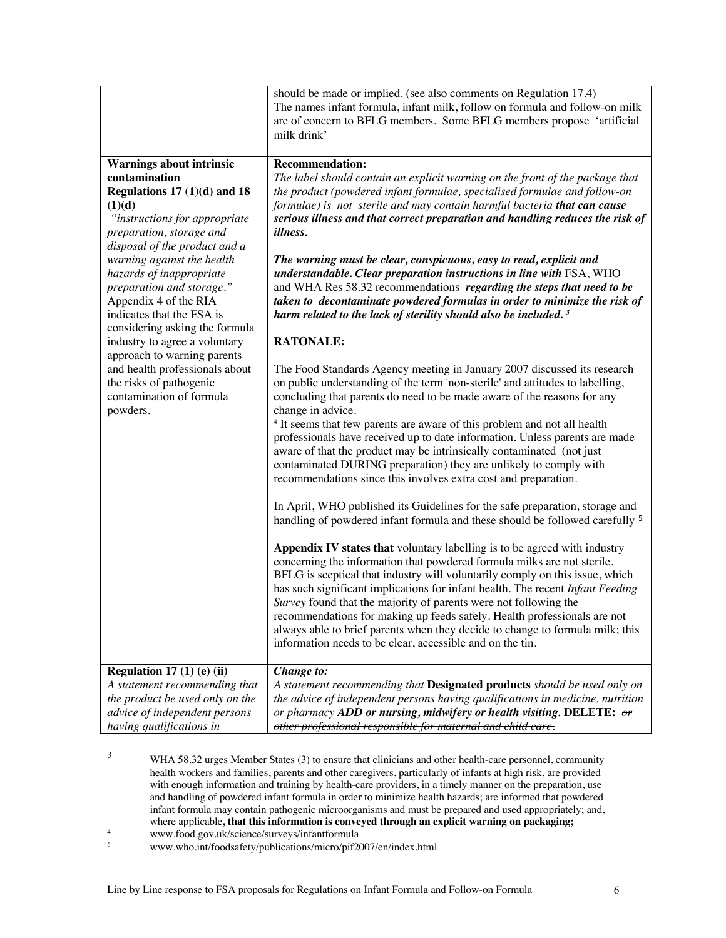|                                 | should be made or implied. (see also comments on Regulation 17.4)<br>The names infant formula, infant milk, follow on formula and follow-on milk<br>are of concern to BFLG members. Some BFLG members propose 'artificial<br>milk drink' |
|---------------------------------|------------------------------------------------------------------------------------------------------------------------------------------------------------------------------------------------------------------------------------------|
|                                 |                                                                                                                                                                                                                                          |
| <b>Warnings about intrinsic</b> | <b>Recommendation:</b>                                                                                                                                                                                                                   |
| contamination                   | The label should contain an explicit warning on the front of the package that                                                                                                                                                            |
| Regulations $17(1)(d)$ and $18$ | the product (powdered infant formulae, specialised formulae and follow-on                                                                                                                                                                |
| (1)(d)                          | formulae) is not sterile and may contain harmful bacteria that can cause                                                                                                                                                                 |
| "instructions for appropriate   | serious illness and that correct preparation and handling reduces the risk of                                                                                                                                                            |
| preparation, storage and        | <i>illness.</i>                                                                                                                                                                                                                          |
| disposal of the product and a   |                                                                                                                                                                                                                                          |
| warning against the health      | The warning must be clear, conspicuous, easy to read, explicit and                                                                                                                                                                       |
| hazards of inappropriate        | understandable. Clear preparation instructions in line with FSA, WHO                                                                                                                                                                     |
| preparation and storage."       | and WHA Res 58.32 recommendations regarding the steps that need to be                                                                                                                                                                    |
| Appendix 4 of the RIA           | taken to decontaminate powdered formulas in order to minimize the risk of                                                                                                                                                                |
| indicates that the FSA is       | harm related to the lack of sterility should also be included. <sup>3</sup>                                                                                                                                                              |
| considering asking the formula  |                                                                                                                                                                                                                                          |
| industry to agree a voluntary   | <b>RATONALE:</b>                                                                                                                                                                                                                         |
| approach to warning parents     |                                                                                                                                                                                                                                          |
| and health professionals about  | The Food Standards Agency meeting in January 2007 discussed its research                                                                                                                                                                 |
| the risks of pathogenic         | on public understanding of the term 'non-sterile' and attitudes to labelling,                                                                                                                                                            |
| contamination of formula        | concluding that parents do need to be made aware of the reasons for any                                                                                                                                                                  |
| powders.                        | change in advice.                                                                                                                                                                                                                        |
|                                 | <sup>4</sup> It seems that few parents are aware of this problem and not all health                                                                                                                                                      |
|                                 | professionals have received up to date information. Unless parents are made                                                                                                                                                              |
|                                 | aware of that the product may be intrinsically contaminated (not just                                                                                                                                                                    |
|                                 | contaminated DURING preparation) they are unlikely to comply with                                                                                                                                                                        |
|                                 | recommendations since this involves extra cost and preparation.                                                                                                                                                                          |
|                                 |                                                                                                                                                                                                                                          |
|                                 | In April, WHO published its Guidelines for the safe preparation, storage and                                                                                                                                                             |
|                                 | handling of powdered infant formula and these should be followed carefully <sup>5</sup>                                                                                                                                                  |
|                                 |                                                                                                                                                                                                                                          |
|                                 |                                                                                                                                                                                                                                          |
|                                 | Appendix IV states that voluntary labelling is to be agreed with industry                                                                                                                                                                |
|                                 | concerning the information that powdered formula milks are not sterile.                                                                                                                                                                  |
|                                 | BFLG is sceptical that industry will voluntarily comply on this issue, which                                                                                                                                                             |
|                                 | has such significant implications for infant health. The recent Infant Feeding                                                                                                                                                           |
|                                 | Survey found that the majority of parents were not following the                                                                                                                                                                         |
|                                 | recommendations for making up feeds safely. Health professionals are not                                                                                                                                                                 |
|                                 | always able to brief parents when they decide to change to formula milk; this                                                                                                                                                            |
|                                 | information needs to be clear, accessible and on the tin.                                                                                                                                                                                |
|                                 |                                                                                                                                                                                                                                          |
| Regulation $17(1)$ (e) (ii)     | Change to:                                                                                                                                                                                                                               |
| A statement recommending that   | A statement recommending that Designated products should be used only on                                                                                                                                                                 |
| the product be used only on the | the advice of independent persons having qualifications in medicine, nutrition                                                                                                                                                           |
| advice of independent persons   | or pharmacy ADD or nursing, midwifery or health visiting. DELETE: $\sigma r$                                                                                                                                                             |
| having qualifications in        | other professional responsible for maternal and child care.                                                                                                                                                                              |

<sup>&</sup>lt;sup>3</sup> WHA 58.32 urges Member States (3) to ensure that clinicians and other health-care personnel, community health workers and families, parents and other caregivers, particularly of infants at high risk, are provided with enough information and training by health-care providers, in a timely manner on the preparation, use and handling of powdered infant formula in order to minimize health hazards; are informed that powdered infant formula may contain pathogenic microorganisms and must be prepared and used appropriately; and, where applicable**, that this information is conveyed through an explicit warning on packaging;**

<sup>&</sup>lt;sup>4</sup> www.food.gov.uk/science/surveys/infantformula<br><sup>5</sup> www.who.int/foodsafety/publications/micro/nif20

<sup>5</sup> www.who.int/foodsafety/publications/micro/pif2007/en/index.html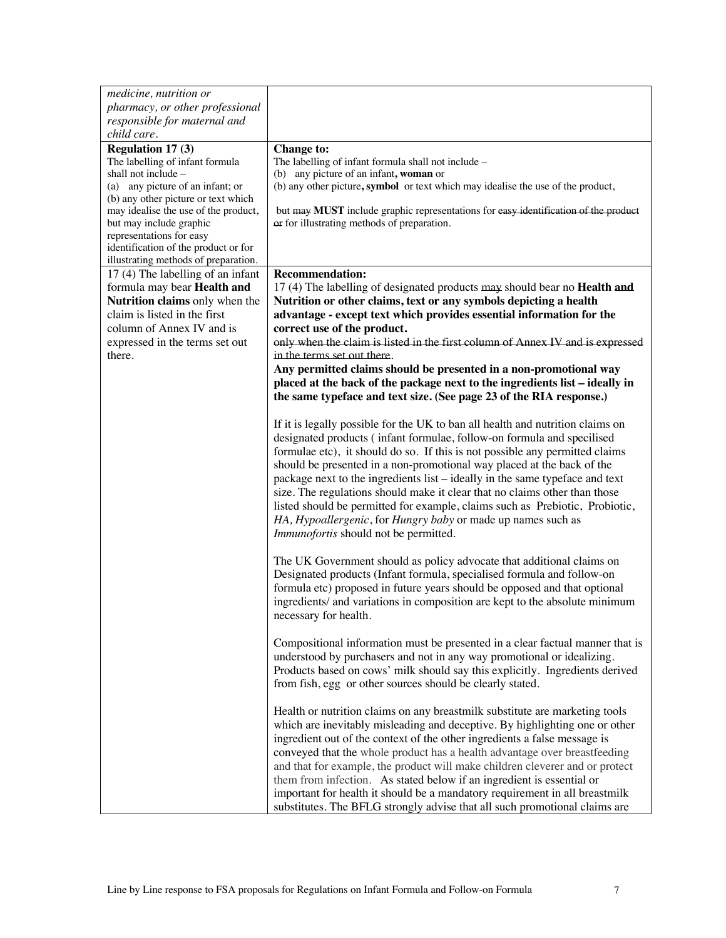| medicine, nutrition or                                                      |                                                                                                                                                        |
|-----------------------------------------------------------------------------|--------------------------------------------------------------------------------------------------------------------------------------------------------|
| pharmacy, or other professional                                             |                                                                                                                                                        |
| responsible for maternal and                                                |                                                                                                                                                        |
| child care.                                                                 |                                                                                                                                                        |
| <b>Regulation 17 (3)</b>                                                    | <b>Change to:</b>                                                                                                                                      |
| The labelling of infant formula                                             | The labelling of infant formula shall not include -                                                                                                    |
| shall not include –                                                         | (b) any picture of an infant, woman or                                                                                                                 |
| (a) any picture of an infant; or                                            | (b) any other picture, symbol or text which may idealise the use of the product,                                                                       |
| (b) any other picture or text which<br>may idealise the use of the product, | but may MUST include graphic representations for easy identification of the product                                                                    |
| but may include graphic                                                     | or for illustrating methods of preparation.                                                                                                            |
| representations for easy                                                    |                                                                                                                                                        |
| identification of the product or for                                        |                                                                                                                                                        |
| illustrating methods of preparation.                                        |                                                                                                                                                        |
| 17 (4) The labelling of an infant                                           | <b>Recommendation:</b>                                                                                                                                 |
| formula may bear Health and                                                 | 17 (4) The labelling of designated products may should bear no <b>Health and</b>                                                                       |
| Nutrition claims only when the                                              | Nutrition or other claims, text or any symbols depicting a health                                                                                      |
| claim is listed in the first                                                | advantage - except text which provides essential information for the                                                                                   |
| column of Annex IV and is                                                   | correct use of the product.                                                                                                                            |
| expressed in the terms set out                                              | only when the claim is listed in the first column of Annex IV and is expressed                                                                         |
| there.                                                                      | in the terms set out there.                                                                                                                            |
|                                                                             | Any permitted claims should be presented in a non-promotional way                                                                                      |
|                                                                             | placed at the back of the package next to the ingredients list - ideally in                                                                            |
|                                                                             | the same typeface and text size. (See page 23 of the RIA response.)                                                                                    |
|                                                                             |                                                                                                                                                        |
|                                                                             | If it is legally possible for the UK to ban all health and nutrition claims on                                                                         |
|                                                                             | designated products (infant formulae, follow-on formula and specilised<br>formulae etc), it should do so. If this is not possible any permitted claims |
|                                                                             | should be presented in a non-promotional way placed at the back of the                                                                                 |
|                                                                             | package next to the ingredients list - ideally in the same typeface and text                                                                           |
|                                                                             | size. The regulations should make it clear that no claims other than those                                                                             |
|                                                                             | listed should be permitted for example, claims such as Prebiotic, Probiotic,                                                                           |
|                                                                             | HA, Hypoallergenic, for Hungry baby or made up names such as                                                                                           |
|                                                                             | Immunofortis should not be permitted.                                                                                                                  |
|                                                                             |                                                                                                                                                        |
|                                                                             | The UK Government should as policy advocate that additional claims on                                                                                  |
|                                                                             | Designated products (Infant formula, specialised formula and follow-on                                                                                 |
|                                                                             | formula etc) proposed in future years should be opposed and that optional                                                                              |
|                                                                             | ingredients/ and variations in composition are kept to the absolute minimum                                                                            |
|                                                                             | necessary for health.                                                                                                                                  |
|                                                                             |                                                                                                                                                        |
|                                                                             | Compositional information must be presented in a clear factual manner that is                                                                          |
|                                                                             | understood by purchasers and not in any way promotional or idealizing.                                                                                 |
|                                                                             | Products based on cows' milk should say this explicitly. Ingredients derived                                                                           |
|                                                                             | from fish, egg or other sources should be clearly stated.                                                                                              |
|                                                                             |                                                                                                                                                        |
|                                                                             | Health or nutrition claims on any breastmilk substitute are marketing tools                                                                            |
|                                                                             | which are inevitably misleading and deceptive. By highlighting one or other                                                                            |
|                                                                             | ingredient out of the context of the other ingredients a false message is                                                                              |
|                                                                             | conveyed that the whole product has a health advantage over breastfeeding                                                                              |
|                                                                             | and that for example, the product will make children cleverer and or protect                                                                           |
|                                                                             | them from infection. As stated below if an ingredient is essential or                                                                                  |
|                                                                             | important for health it should be a mandatory requirement in all breastmilk                                                                            |
|                                                                             | substitutes. The BFLG strongly advise that all such promotional claims are                                                                             |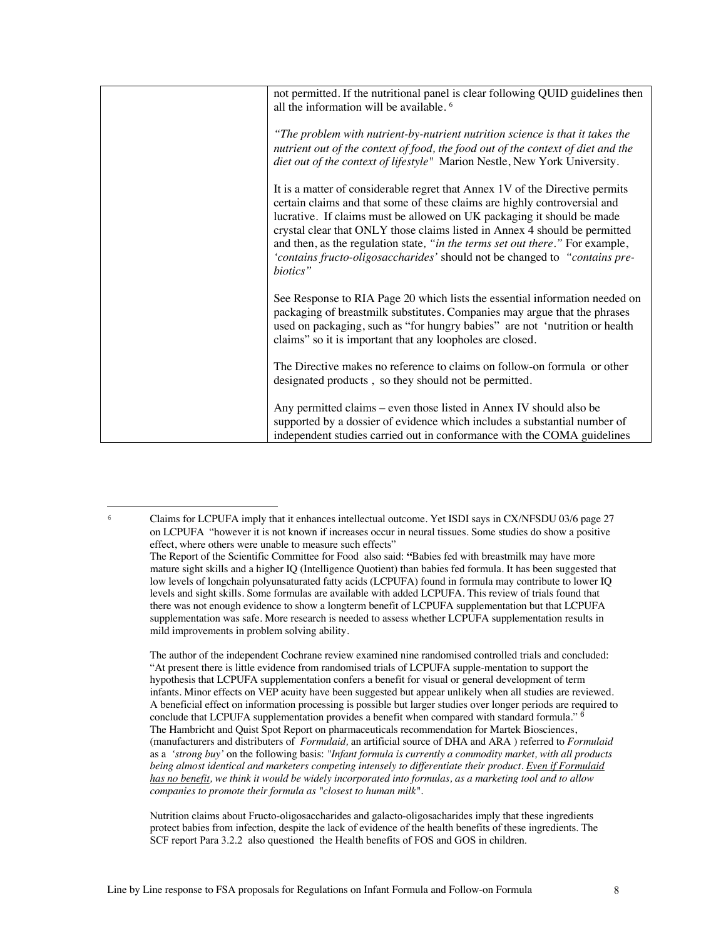| not permitted. If the nutritional panel is clear following QUID guidelines then<br>all the information will be available. <sup>6</sup>                                                                                                                                                                                                                                                                                                                                                       |
|----------------------------------------------------------------------------------------------------------------------------------------------------------------------------------------------------------------------------------------------------------------------------------------------------------------------------------------------------------------------------------------------------------------------------------------------------------------------------------------------|
| "The problem with nutrient-by-nutrient nutrition science is that it takes the<br>nutrient out of the context of food, the food out of the context of diet and the<br>diet out of the context of lifestyle" Marion Nestle, New York University.                                                                                                                                                                                                                                               |
| It is a matter of considerable regret that Annex 1V of the Directive permits<br>certain claims and that some of these claims are highly controversial and<br>lucrative. If claims must be allowed on UK packaging it should be made<br>crystal clear that ONLY those claims listed in Annex 4 should be permitted<br>and then, as the regulation state, "in the terms set out there." For example,<br>'contains fructo-oligosaccharides' should not be changed to "contains pre-<br>biotics" |
| See Response to RIA Page 20 which lists the essential information needed on<br>packaging of breastmilk substitutes. Companies may argue that the phrases<br>used on packaging, such as "for hungry babies" are not 'nutrition or health<br>claims" so it is important that any loopholes are closed.                                                                                                                                                                                         |
| The Directive makes no reference to claims on follow-on formula or other<br>designated products, so they should not be permitted.                                                                                                                                                                                                                                                                                                                                                            |
| Any permitted claims – even those listed in Annex IV should also be<br>supported by a dossier of evidence which includes a substantial number of<br>independent studies carried out in conformance with the COMA guidelines                                                                                                                                                                                                                                                                  |

<sup>6</sup> Claims for LCPUFA imply that it enhances intellectual outcome. Yet ISDI says in CX/NFSDU 03/6 page 27 on LCPUFA "however it is not known if increases occur in neural tissues. Some studies do show a positive effect, where others were unable to measure such effects"

The author of the independent Cochrane review examined nine randomised controlled trials and concluded: "At present there is little evidence from randomised trials of LCPUFA supple-mentation to support the hypothesis that LCPUFA supplementation confers a benefit for visual or general development of term infants. Minor effects on VEP acuity have been suggested but appear unlikely when all studies are reviewed. A beneficial effect on information processing is possible but larger studies over longer periods are required to conclude that LCPUFA supplementation provides a benefit when compared with standard formula." <sup>6</sup> The Hambricht and Quist Spot Report on pharmaceuticals recommendation for Martek Biosciences, (manufacturers and distributers of *Formulaid,* an artificial source of DHA and ARA ) referred to *Formulaid* as a *'strong buy'* on the following basis: *"Infant formula is currently a commodity market, with all products being almost identical and marketers competing intensely to differentiate their product. Even if Formulaid has no benefit, we think it would be widely incorporated into formulas, as a marketing tool and to allow companies to promote their formula as "closest to human milk".*

Nutrition claims about Fructo-oligosaccharides and galacto-oligosacharides imply that these ingredients protect babies from infection, despite the lack of evidence of the health benefits of these ingredients. The SCF report Para 3.2.2 also questioned the Health benefits of FOS and GOS in children.

The Report of the Scientific Committee for Food also said: **"**Babies fed with breastmilk may have more mature sight skills and a higher IQ (Intelligence Quotient) than babies fed formula. It has been suggested that low levels of longchain polyunsaturated fatty acids (LCPUFA) found in formula may contribute to lower IQ levels and sight skills. Some formulas are available with added LCPUFA. This review of trials found that there was not enough evidence to show a longterm benefit of LCPUFA supplementation but that LCPUFA supplementation was safe. More research is needed to assess whether LCPUFA supplementation results in mild improvements in problem solving ability.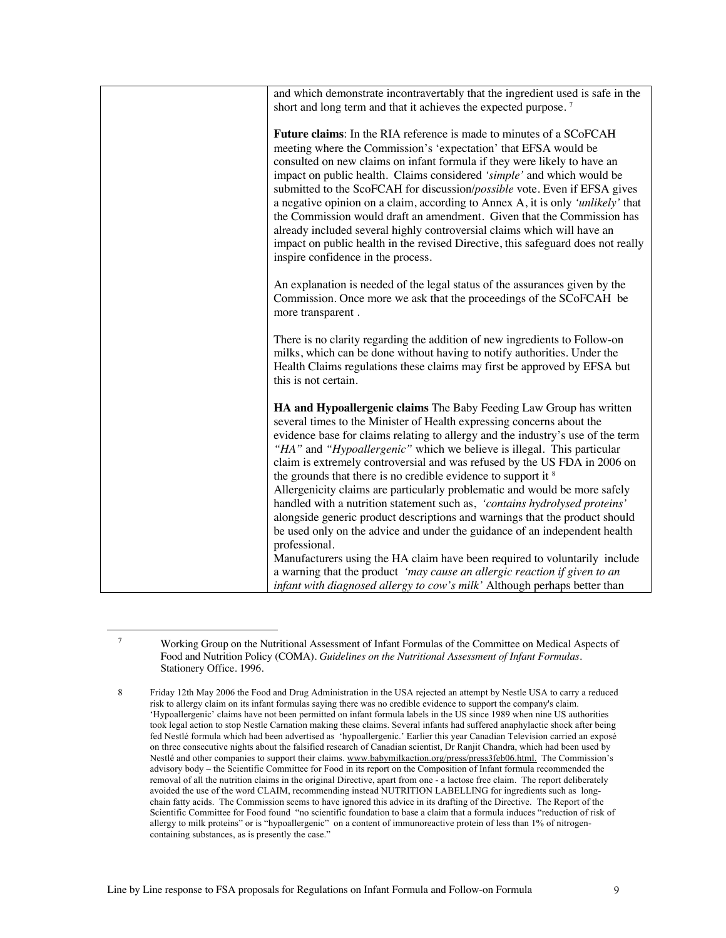| and which demonstrate incontravertably that the ingredient used is safe in the<br>short and long term and that it achieves the expected purpose. <sup>7</sup>                                                                                                                                                                                                                                                                                                                                                                                                                                                                                                                                                                                                                                                                                                                                                                                                            |
|--------------------------------------------------------------------------------------------------------------------------------------------------------------------------------------------------------------------------------------------------------------------------------------------------------------------------------------------------------------------------------------------------------------------------------------------------------------------------------------------------------------------------------------------------------------------------------------------------------------------------------------------------------------------------------------------------------------------------------------------------------------------------------------------------------------------------------------------------------------------------------------------------------------------------------------------------------------------------|
| Future claims: In the RIA reference is made to minutes of a SCoFCAH<br>meeting where the Commission's 'expectation' that EFSA would be<br>consulted on new claims on infant formula if they were likely to have an<br>impact on public health. Claims considered 'simple' and which would be<br>submitted to the ScoFCAH for discussion/possible vote. Even if EFSA gives<br>a negative opinion on a claim, according to Annex A, it is only 'unlikely' that<br>the Commission would draft an amendment. Given that the Commission has<br>already included several highly controversial claims which will have an<br>impact on public health in the revised Directive, this safeguard does not really<br>inspire confidence in the process.                                                                                                                                                                                                                              |
| An explanation is needed of the legal status of the assurances given by the<br>Commission. Once more we ask that the proceedings of the SCoFCAH be<br>more transparent.                                                                                                                                                                                                                                                                                                                                                                                                                                                                                                                                                                                                                                                                                                                                                                                                  |
| There is no clarity regarding the addition of new ingredients to Follow-on<br>milks, which can be done without having to notify authorities. Under the<br>Health Claims regulations these claims may first be approved by EFSA but<br>this is not certain.                                                                                                                                                                                                                                                                                                                                                                                                                                                                                                                                                                                                                                                                                                               |
| HA and Hypoallergenic claims The Baby Feeding Law Group has written<br>several times to the Minister of Health expressing concerns about the<br>evidence base for claims relating to allergy and the industry's use of the term<br>"HA" and "Hypoallergenic" which we believe is illegal. This particular<br>claim is extremely controversial and was refused by the US FDA in 2006 on<br>the grounds that there is no credible evidence to support it <sup>8</sup><br>Allergenicity claims are particularly problematic and would be more safely<br>handled with a nutrition statement such as, 'contains hydrolysed proteins'<br>alongside generic product descriptions and warnings that the product should<br>be used only on the advice and under the guidance of an independent health<br>professional.<br>Manufacturers using the HA claim have been required to voluntarily include<br>a warning that the product 'may cause an allergic reaction if given to an |
| infant with diagnosed allergy to cow's milk' Although perhaps better than                                                                                                                                                                                                                                                                                                                                                                                                                                                                                                                                                                                                                                                                                                                                                                                                                                                                                                |

<sup>7</sup> Working Group on the Nutritional Assessment of Infant Formulas of the Committee on Medical Aspects of Food and Nutrition Policy (COMA). *Guidelines on the Nutritional Assessment of Infant Formulas.*  Stationery Office. 1996.

<sup>8</sup> Friday 12th May 2006 the Food and Drug Administration in the USA rejected an attempt by Nestle USA to carry a reduced risk to allergy claim on its infant formulas saying there was no credible evidence to support the company's claim. 'Hypoallergenic' claims have not been permitted on infant formula labels in the US since 1989 when nine US authorities took legal action to stop Nestle Carnation making these claims. Several infants had suffered anaphylactic shock after being fed Nestlé formula which had been advertised as 'hypoallergenic.' Earlier this year Canadian Television carried an exposé on three consecutive nights about the falsified research of Canadian scientist, Dr Ranjit Chandra, which had been used by Nestlé and other companies to support their claims. www.babymilkaction.org/press/press3feb06.html. The Commission's advisory body – the Scientific Committee for Food in its report on the Composition of Infant formula recommended the removal of all the nutrition claims in the original Directive, apart from one - a lactose free claim. The report deliberately avoided the use of the word CLAIM, recommending instead NUTRITION LABELLING for ingredients such as longchain fatty acids. The Commission seems to have ignored this advice in its drafting of the Directive. The Report of the Scientific Committee for Food found "no scientific foundation to base a claim that a formula induces "reduction of risk of allergy to milk proteins" or is "hypoallergenic" on a content of immunoreactive protein of less than 1% of nitrogencontaining substances, as is presently the case."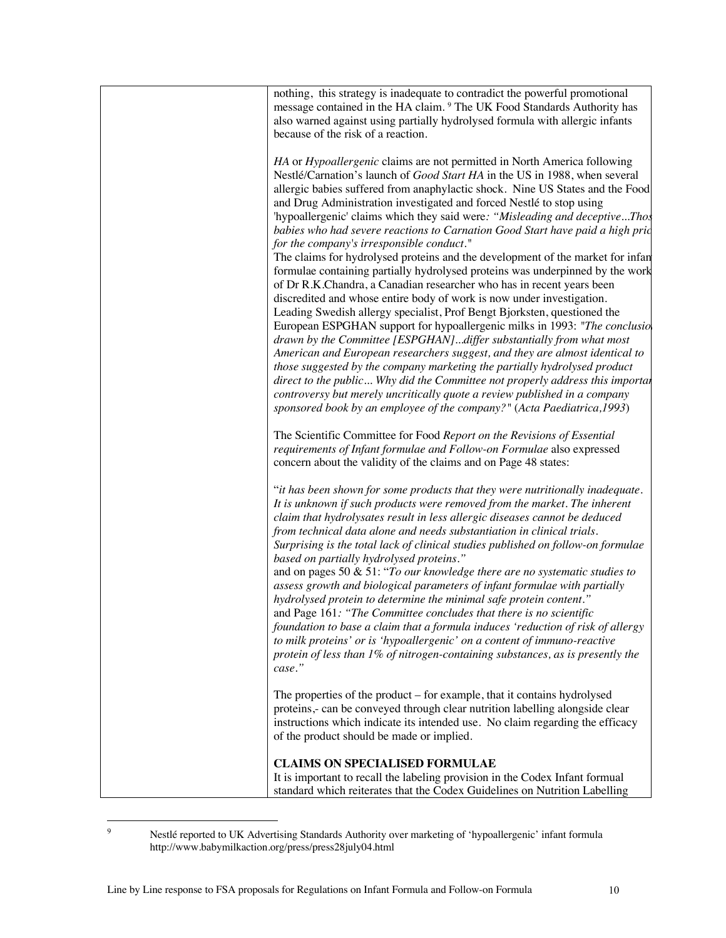| nothing, this strategy is inadequate to contradict the powerful promotional<br>message contained in the HA claim. <sup>9</sup> The UK Food Standards Authority has<br>also warned against using partially hydrolysed formula with allergic infants<br>because of the risk of a reaction.                                                                                                                                                                                                                                                                                                                                                                                                                                                                                                                                                                             |
|----------------------------------------------------------------------------------------------------------------------------------------------------------------------------------------------------------------------------------------------------------------------------------------------------------------------------------------------------------------------------------------------------------------------------------------------------------------------------------------------------------------------------------------------------------------------------------------------------------------------------------------------------------------------------------------------------------------------------------------------------------------------------------------------------------------------------------------------------------------------|
| HA or Hypoallergenic claims are not permitted in North America following<br>Nestlé/Carnation's launch of Good Start HA in the US in 1988, when several<br>allergic babies suffered from anaphylactic shock. Nine US States and the Food<br>and Drug Administration investigated and forced Nestlé to stop using<br>'hypoallergenic' claims which they said were: "Misleading and deceptiveThos<br>babies who had severe reactions to Carnation Good Start have paid a high pric<br>for the company's irresponsible conduct."<br>The claims for hydrolysed proteins and the development of the market for infan                                                                                                                                                                                                                                                       |
| formulae containing partially hydrolysed proteins was underpinned by the work<br>of Dr R.K.Chandra, a Canadian researcher who has in recent years been<br>discredited and whose entire body of work is now under investigation.<br>Leading Swedish allergy specialist, Prof Bengt Bjorksten, questioned the<br>European ESPGHAN support for hypoallergenic milks in 1993: "The conclusio<br>drawn by the Committee [ESPGHAN]differ substantially from what most<br>American and European researchers suggest, and they are almost identical to<br>those suggested by the company marketing the partially hydrolysed product<br>direct to the public Why did the Committee not properly address this importan<br>controversy but merely uncritically quote a review published in a company<br>sponsored book by an employee of the company?" (Acta Paediatrica, 1993) |
| The Scientific Committee for Food Report on the Revisions of Essential<br>requirements of Infant formulae and Follow-on Formulae also expressed<br>concern about the validity of the claims and on Page 48 states:                                                                                                                                                                                                                                                                                                                                                                                                                                                                                                                                                                                                                                                   |
| "it has been shown for some products that they were nutritionally inadequate.<br>It is unknown if such products were removed from the market. The inherent<br>claim that hydrolysates result in less allergic diseases cannot be deduced<br>from technical data alone and needs substantiation in clinical trials.<br>Surprising is the total lack of clinical studies published on follow-on formulae<br>based on partially hydrolysed proteins."<br>and on pages 50 $&$ 51: "To our knowledge there are no systematic studies to<br>assess growth and biological parameters of infant formulae with partially                                                                                                                                                                                                                                                      |
| hydrolysed protein to determine the minimal safe protein content."<br>and Page 161: "The Committee concludes that there is no scientific<br>foundation to base a claim that a formula induces 'reduction of risk of allergy<br>to milk proteins' or is 'hypoallergenic' on a content of immuno-reactive<br>protein of less than 1% of nitrogen-containing substances, as is presently the<br>case."                                                                                                                                                                                                                                                                                                                                                                                                                                                                  |
| The properties of the product $-$ for example, that it contains hydrolysed<br>proteins,- can be conveyed through clear nutrition labelling alongside clear<br>instructions which indicate its intended use. No claim regarding the efficacy<br>of the product should be made or implied.                                                                                                                                                                                                                                                                                                                                                                                                                                                                                                                                                                             |
| <b>CLAIMS ON SPECIALISED FORMULAE</b><br>It is important to recall the labeling provision in the Codex Infant formual<br>standard which reiterates that the Codex Guidelines on Nutrition Labelling                                                                                                                                                                                                                                                                                                                                                                                                                                                                                                                                                                                                                                                                  |

<sup>&</sup>lt;sup>9</sup> Nestlé reported to UK Advertising Standards Authority over marketing of 'hypoallergenic' infant formula http://www.babymilkaction.org/press/press28july04.html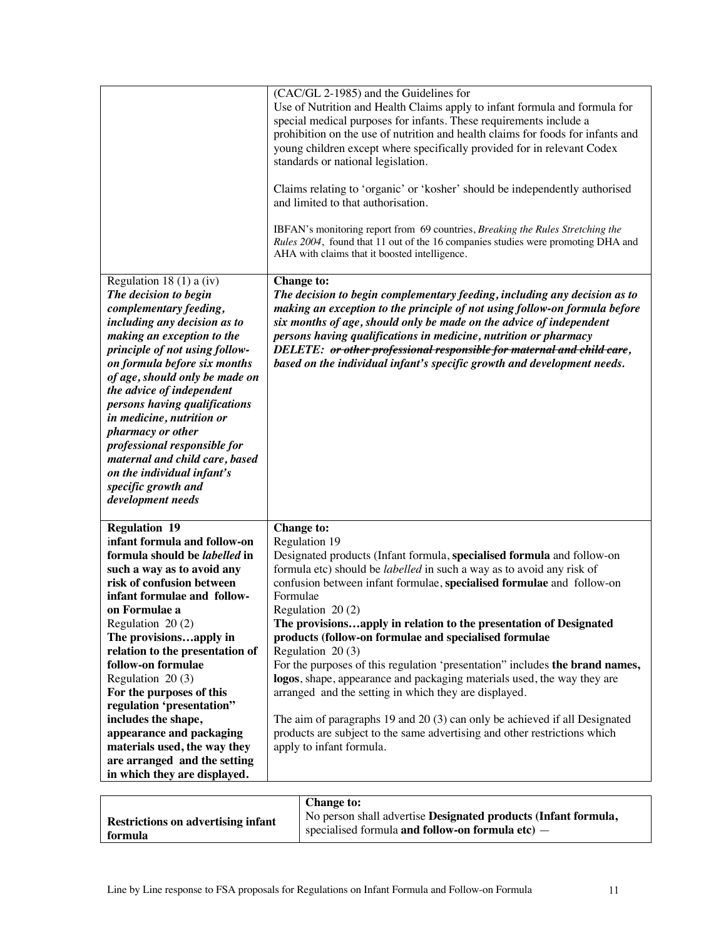|                                                                | (CAC/GL 2-1985) and the Guidelines for                                                                                                                             |
|----------------------------------------------------------------|--------------------------------------------------------------------------------------------------------------------------------------------------------------------|
|                                                                | Use of Nutrition and Health Claims apply to infant formula and formula for                                                                                         |
|                                                                | special medical purposes for infants. These requirements include a                                                                                                 |
|                                                                | prohibition on the use of nutrition and health claims for foods for infants and                                                                                    |
|                                                                | young children except where specifically provided for in relevant Codex<br>standards or national legislation.                                                      |
|                                                                |                                                                                                                                                                    |
|                                                                | Claims relating to 'organic' or 'kosher' should be independently authorised                                                                                        |
|                                                                | and limited to that authorisation.                                                                                                                                 |
|                                                                |                                                                                                                                                                    |
|                                                                | IBFAN's monitoring report from 69 countries, Breaking the Rules Stretching the<br>Rules 2004, found that 11 out of the 16 companies studies were promoting DHA and |
|                                                                | AHA with claims that it boosted intelligence.                                                                                                                      |
|                                                                |                                                                                                                                                                    |
| Regulation 18 $(1)$ a $(iv)$                                   | <b>Change to:</b>                                                                                                                                                  |
| The decision to begin                                          | The decision to begin complementary feeding, including any decision as to                                                                                          |
| complementary feeding,                                         | making an exception to the principle of not using follow-on formula before                                                                                         |
| including any decision as to                                   | six months of age, should only be made on the advice of independent                                                                                                |
| making an exception to the                                     | persons having qualifications in medicine, nutrition or pharmacy                                                                                                   |
| principle of not using follow-                                 | DELETE: or other professional responsible for maternal and child care,                                                                                             |
| on formula before six months<br>of age, should only be made on | based on the individual infant's specific growth and development needs.                                                                                            |
| the advice of independent                                      |                                                                                                                                                                    |
| persons having qualifications                                  |                                                                                                                                                                    |
| in medicine, nutrition or                                      |                                                                                                                                                                    |
| pharmacy or other                                              |                                                                                                                                                                    |
| professional responsible for                                   |                                                                                                                                                                    |
| maternal and child care, based                                 |                                                                                                                                                                    |
| on the individual infant's                                     |                                                                                                                                                                    |
| specific growth and                                            |                                                                                                                                                                    |
| development needs                                              |                                                                                                                                                                    |
| <b>Regulation 19</b>                                           | <b>Change to:</b>                                                                                                                                                  |
| infant formula and follow-on                                   | Regulation 19                                                                                                                                                      |
| formula should be labelled in                                  | Designated products (Infant formula, specialised formula and follow-on                                                                                             |
| such a way as to avoid any                                     | formula etc) should be <i>labelled</i> in such a way as to avoid any risk of                                                                                       |
| risk of confusion between                                      | confusion between infant formulae, specialised formulae and follow-on                                                                                              |
| infant formulae and follow-                                    | Formulae                                                                                                                                                           |
| on Formulae a                                                  | Regulation $20(2)$                                                                                                                                                 |
| Regulation 20 (2)                                              | The provisionsapply in relation to the presentation of Designated                                                                                                  |
| The provisionsapply in                                         | products (follow-on formulae and specialised formulae                                                                                                              |
| relation to the presentation of                                | Regulation 20 (3)                                                                                                                                                  |
| follow-on formulae                                             | For the purposes of this regulation 'presentation' includes the brand names,                                                                                       |
| Regulation 20 (3)                                              | logos, shape, appearance and packaging materials used, the way they are                                                                                            |
| For the purposes of this                                       | arranged and the setting in which they are displayed.                                                                                                              |
| regulation 'presentation"                                      |                                                                                                                                                                    |
| includes the shape,                                            | The aim of paragraphs $19$ and $20(3)$ can only be achieved if all Designated                                                                                      |
| appearance and packaging<br>materials used, the way they       | products are subject to the same advertising and other restrictions which<br>apply to infant formula.                                                              |
| are arranged and the setting                                   |                                                                                                                                                                    |
| in which they are displayed.                                   |                                                                                                                                                                    |
|                                                                |                                                                                                                                                                    |
|                                                                |                                                                                                                                                                    |

|                                           | <b>Change to:</b>                                              |
|-------------------------------------------|----------------------------------------------------------------|
| <b>Restrictions on advertising infant</b> | No person shall advertise Designated products (Infant formula, |
| formula                                   | specialised formula and follow-on formula etc) $-$             |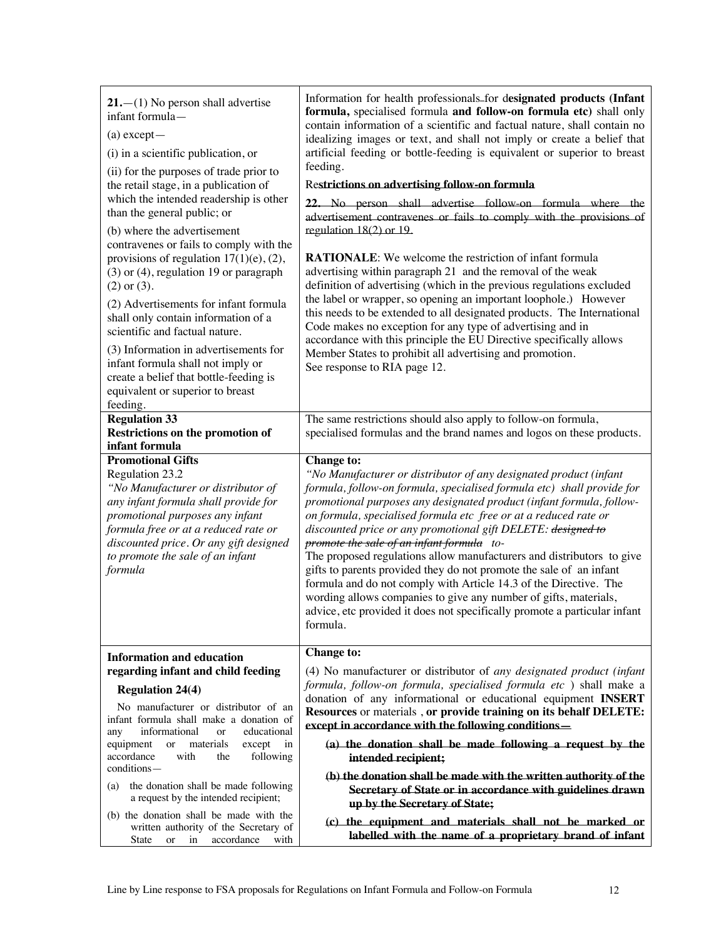| $21 - (1)$ No person shall advertise<br>infant formula-<br>$(a)$ except $-$<br>(i) in a scientific publication, or<br>(ii) for the purposes of trade prior to<br>the retail stage, in a publication of<br>which the intended readership is other<br>than the general public; or<br>(b) where the advertisement<br>contravenes or fails to comply with the<br>provisions of regulation $17(1)(e)$ , (2),<br>$(3)$ or $(4)$ , regulation 19 or paragraph<br>$(2)$ or $(3)$ .<br>(2) Advertisements for infant formula<br>shall only contain information of a<br>scientific and factual nature.<br>(3) Information in advertisements for<br>infant formula shall not imply or<br>create a belief that bottle-feeding is<br>equivalent or superior to breast<br>feeding. | Information for health professionals-for designated products (Infant<br>formula, specialised formula and follow-on formula etc) shall only<br>contain information of a scientific and factual nature, shall contain no<br>idealizing images or text, and shall not imply or create a belief that<br>artificial feeding or bottle-feeding is equivalent or superior to breast<br>feeding.<br>Restrictions on advertising follow-on formula<br>22. No person shall advertise follow-on formula where the<br>advertisement contravenes or fails to comply with the provisions of<br>regulation $18(2)$ or 19.<br><b>RATIONALE:</b> We welcome the restriction of infant formula<br>advertising within paragraph 21 and the removal of the weak<br>definition of advertising (which in the previous regulations excluded<br>the label or wrapper, so opening an important loophole.) However<br>this needs to be extended to all designated products. The International<br>Code makes no exception for any type of advertising and in<br>accordance with this principle the EU Directive specifically allows<br>Member States to prohibit all advertising and promotion.<br>See response to RIA page 12. |
|----------------------------------------------------------------------------------------------------------------------------------------------------------------------------------------------------------------------------------------------------------------------------------------------------------------------------------------------------------------------------------------------------------------------------------------------------------------------------------------------------------------------------------------------------------------------------------------------------------------------------------------------------------------------------------------------------------------------------------------------------------------------|------------------------------------------------------------------------------------------------------------------------------------------------------------------------------------------------------------------------------------------------------------------------------------------------------------------------------------------------------------------------------------------------------------------------------------------------------------------------------------------------------------------------------------------------------------------------------------------------------------------------------------------------------------------------------------------------------------------------------------------------------------------------------------------------------------------------------------------------------------------------------------------------------------------------------------------------------------------------------------------------------------------------------------------------------------------------------------------------------------------------------------------------------------------------------------------------------|
| <b>Regulation 33</b><br><b>Restrictions on the promotion of</b>                                                                                                                                                                                                                                                                                                                                                                                                                                                                                                                                                                                                                                                                                                      | The same restrictions should also apply to follow-on formula,<br>specialised formulas and the brand names and logos on these products.                                                                                                                                                                                                                                                                                                                                                                                                                                                                                                                                                                                                                                                                                                                                                                                                                                                                                                                                                                                                                                                               |
| infant formula                                                                                                                                                                                                                                                                                                                                                                                                                                                                                                                                                                                                                                                                                                                                                       |                                                                                                                                                                                                                                                                                                                                                                                                                                                                                                                                                                                                                                                                                                                                                                                                                                                                                                                                                                                                                                                                                                                                                                                                      |
| <b>Promotional Gifts</b><br>Regulation 23.2<br>"No Manufacturer or distributor of<br>any infant formula shall provide for<br>promotional purposes any infant<br>formula free or at a reduced rate or<br>discounted price. Or any gift designed<br>to promote the sale of an infant<br>formula                                                                                                                                                                                                                                                                                                                                                                                                                                                                        | <b>Change to:</b><br>"No Manufacturer or distributor of any designated product (infant<br>formula, follow-on formula, specialised formula etc) shall provide for<br>promotional purposes any designated product (infant formula, follow-<br>on formula, specialised formula etc free or at a reduced rate or<br>discounted price or any promotional gift DELETE: designed to<br>promote the sale of an infant formula to-<br>The proposed regulations allow manufacturers and distributors to give<br>gifts to parents provided they do not promote the sale of an infant<br>formula and do not comply with Article 14.3 of the Directive. The<br>wording allows companies to give any number of gifts, materials,<br>advice, etc provided it does not specifically promote a particular infant<br>formula.<br><b>Change to:</b>                                                                                                                                                                                                                                                                                                                                                                     |
| <b>Information and education</b>                                                                                                                                                                                                                                                                                                                                                                                                                                                                                                                                                                                                                                                                                                                                     |                                                                                                                                                                                                                                                                                                                                                                                                                                                                                                                                                                                                                                                                                                                                                                                                                                                                                                                                                                                                                                                                                                                                                                                                      |
| regarding infant and child feeding                                                                                                                                                                                                                                                                                                                                                                                                                                                                                                                                                                                                                                                                                                                                   | (4) No manufacturer or distributor of any designated product (infant                                                                                                                                                                                                                                                                                                                                                                                                                                                                                                                                                                                                                                                                                                                                                                                                                                                                                                                                                                                                                                                                                                                                 |
| <b>Regulation 24(4)</b>                                                                                                                                                                                                                                                                                                                                                                                                                                                                                                                                                                                                                                                                                                                                              | formula, follow-on formula, specialised formula etc) shall make a<br>donation of any informational or educational equipment INSERT                                                                                                                                                                                                                                                                                                                                                                                                                                                                                                                                                                                                                                                                                                                                                                                                                                                                                                                                                                                                                                                                   |
| No manufacturer or distributor of an<br>infant formula shall make a donation of                                                                                                                                                                                                                                                                                                                                                                                                                                                                                                                                                                                                                                                                                      | Resources or materials, or provide training on its behalf DELETE:<br>except in accordance with the following conditions-                                                                                                                                                                                                                                                                                                                                                                                                                                                                                                                                                                                                                                                                                                                                                                                                                                                                                                                                                                                                                                                                             |
| informational<br>educational<br><b>or</b><br>any<br>materials<br>equipment<br>or<br>except<br>in                                                                                                                                                                                                                                                                                                                                                                                                                                                                                                                                                                                                                                                                     | (a) the donation shall be made following a request by the                                                                                                                                                                                                                                                                                                                                                                                                                                                                                                                                                                                                                                                                                                                                                                                                                                                                                                                                                                                                                                                                                                                                            |
| accordance<br>with<br>following<br>the<br>conditions-                                                                                                                                                                                                                                                                                                                                                                                                                                                                                                                                                                                                                                                                                                                | intended recipient;                                                                                                                                                                                                                                                                                                                                                                                                                                                                                                                                                                                                                                                                                                                                                                                                                                                                                                                                                                                                                                                                                                                                                                                  |
| the donation shall be made following<br>(a)<br>a request by the intended recipient;                                                                                                                                                                                                                                                                                                                                                                                                                                                                                                                                                                                                                                                                                  | (b) the donation shall be made with the written authority of the<br>Secretary of State or in accordance with guidelines drawn<br>up by the Secretary of State;                                                                                                                                                                                                                                                                                                                                                                                                                                                                                                                                                                                                                                                                                                                                                                                                                                                                                                                                                                                                                                       |
| (b) the donation shall be made with the<br>written authority of the Secretary of<br>accordance<br>State<br>in<br>with<br><b>or</b>                                                                                                                                                                                                                                                                                                                                                                                                                                                                                                                                                                                                                                   | (c) the equipment and materials shall not be marked or<br>labelled with the name of a proprietary brand of infant                                                                                                                                                                                                                                                                                                                                                                                                                                                                                                                                                                                                                                                                                                                                                                                                                                                                                                                                                                                                                                                                                    |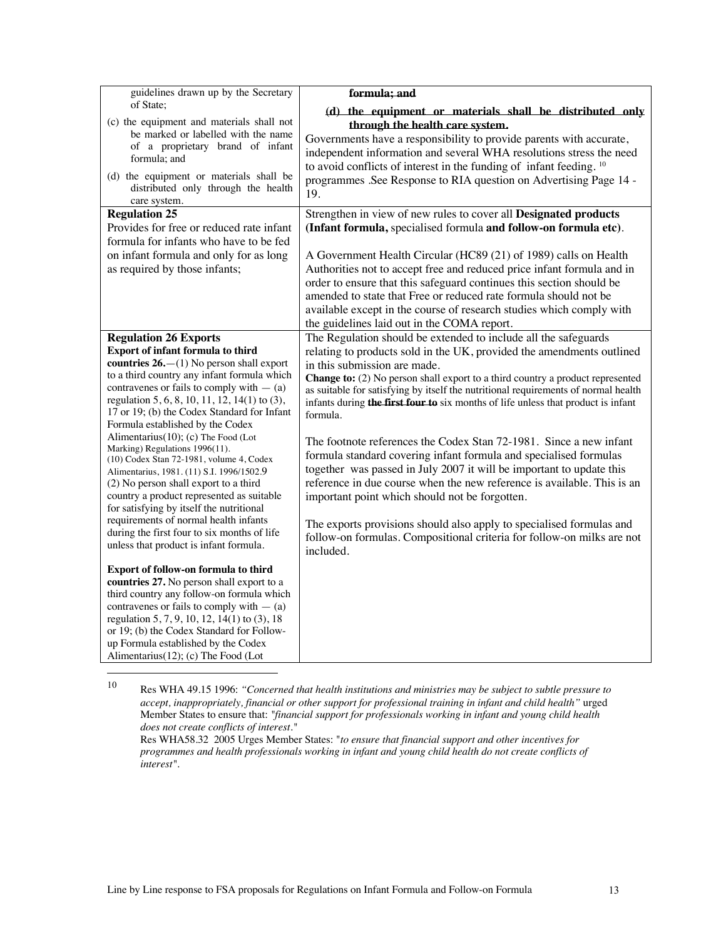| guidelines drawn up by the Secretary<br>of State:<br>(c) the equipment and materials shall not<br>be marked or labelled with the name<br>of a proprietary brand of infant<br>formula; and<br>(d) the equipment or materials shall be<br>distributed only through the health<br>care system.<br><b>Regulation 25</b>                                                                                                                                                                                                                                                                                                                                                                                                                                                                          | formula; and<br>(d) the equipment or materials shall be distributed only<br>through the health care system.<br>Governments have a responsibility to provide parents with accurate,<br>independent information and several WHA resolutions stress the need<br>to avoid conflicts of interest in the funding of infant feeding. <sup>10</sup><br>programmes .See Response to RIA question on Advertising Page 14 -<br>19.<br>Strengthen in view of new rules to cover all Designated products                                                                                                                                                                                                                                                                                                                                                                                                                                                                             |
|----------------------------------------------------------------------------------------------------------------------------------------------------------------------------------------------------------------------------------------------------------------------------------------------------------------------------------------------------------------------------------------------------------------------------------------------------------------------------------------------------------------------------------------------------------------------------------------------------------------------------------------------------------------------------------------------------------------------------------------------------------------------------------------------|-------------------------------------------------------------------------------------------------------------------------------------------------------------------------------------------------------------------------------------------------------------------------------------------------------------------------------------------------------------------------------------------------------------------------------------------------------------------------------------------------------------------------------------------------------------------------------------------------------------------------------------------------------------------------------------------------------------------------------------------------------------------------------------------------------------------------------------------------------------------------------------------------------------------------------------------------------------------------|
| Provides for free or reduced rate infant<br>formula for infants who have to be fed<br>on infant formula and only for as long<br>as required by those infants;                                                                                                                                                                                                                                                                                                                                                                                                                                                                                                                                                                                                                                | (Infant formula, specialised formula and follow-on formula etc).<br>A Government Health Circular (HC89 (21) of 1989) calls on Health<br>Authorities not to accept free and reduced price infant formula and in<br>order to ensure that this safeguard continues this section should be<br>amended to state that Free or reduced rate formula should not be<br>available except in the course of research studies which comply with<br>the guidelines laid out in the COMA report.                                                                                                                                                                                                                                                                                                                                                                                                                                                                                       |
| <b>Regulation 26 Exports</b><br>Export of infant formula to third<br>countries $26 - (1)$ No person shall export<br>to a third country any infant formula which<br>contravenes or fails to comply with $-$ (a)<br>regulation 5, 6, 8, 10, 11, 12, 14(1) to (3),<br>17 or 19; (b) the Codex Standard for Infant<br>Formula established by the Codex<br>Alimentarius $(10)$ ; (c) The Food (Lot<br>Marking) Regulations 1996(11).<br>(10) Codex Stan 72-1981, volume 4, Codex<br>Alimentarius, 1981. (11) S.I. 1996/1502.9<br>(2) No person shall export to a third<br>country a product represented as suitable<br>for satisfying by itself the nutritional<br>requirements of normal health infants<br>during the first four to six months of life<br>unless that product is infant formula. | The Regulation should be extended to include all the safeguards<br>relating to products sold in the UK, provided the amendments outlined<br>in this submission are made.<br><b>Change to:</b> (2) No person shall export to a third country a product represented<br>as suitable for satisfying by itself the nutritional requirements of normal health<br>infants during the first four to six months of life unless that product is infant<br>formula.<br>The footnote references the Codex Stan 72-1981. Since a new infant<br>formula standard covering infant formula and specialised formulas<br>together was passed in July 2007 it will be important to update this<br>reference in due course when the new reference is available. This is an<br>important point which should not be forgotten.<br>The exports provisions should also apply to specialised formulas and<br>follow-on formulas. Compositional criteria for follow-on milks are not<br>included. |
| Export of follow-on formula to third<br>countries 27. No person shall export to a<br>third country any follow-on formula which<br>contravenes or fails to comply with $-$ (a)<br>regulation 5, 7, 9, 10, 12, 14(1) to (3), 18<br>or 19; (b) the Codex Standard for Follow-<br>up Formula established by the Codex<br>Alimentarius(12); (c) The Food (Lot                                                                                                                                                                                                                                                                                                                                                                                                                                     |                                                                                                                                                                                                                                                                                                                                                                                                                                                                                                                                                                                                                                                                                                                                                                                                                                                                                                                                                                         |

<sup>10</sup> Res WHA 49.15 1996: *"Concerned that health institutions and ministries may be subject to subtle pressure to accept, inappropriately, financial or other support for professional training in infant and child health"* urged Member States to ensure that: *"financial support for professionals working in infant and young child health does not create conflicts of interest."*

Res WHA58.32 2005 Urges Member States: "*to ensure that financial support and other incentives for programmes and health professionals working in infant and young child health do not create conflicts of interest".*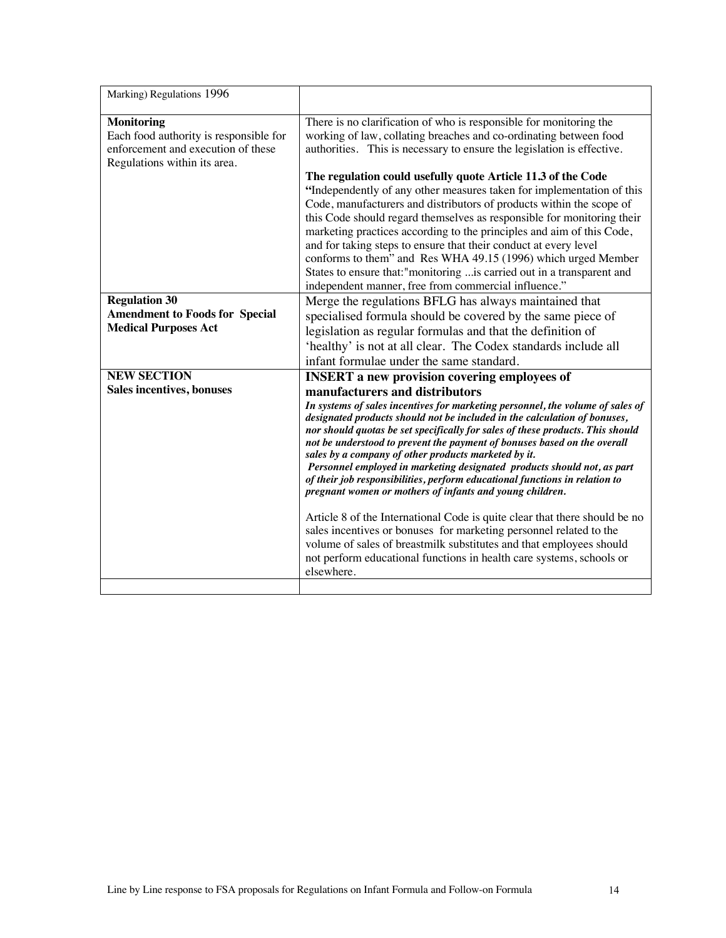| Marking) Regulations 1996                                                                                                         |                                                                                                                                                                                                                                                                                                                                                                                                                                                                                                                                                                                                                                                                                                  |
|-----------------------------------------------------------------------------------------------------------------------------------|--------------------------------------------------------------------------------------------------------------------------------------------------------------------------------------------------------------------------------------------------------------------------------------------------------------------------------------------------------------------------------------------------------------------------------------------------------------------------------------------------------------------------------------------------------------------------------------------------------------------------------------------------------------------------------------------------|
| <b>Monitoring</b><br>Each food authority is responsible for<br>enforcement and execution of these<br>Regulations within its area. | There is no clarification of who is responsible for monitoring the<br>working of law, collating breaches and co-ordinating between food<br>authorities. This is necessary to ensure the legislation is effective.                                                                                                                                                                                                                                                                                                                                                                                                                                                                                |
|                                                                                                                                   | The regulation could usefully quote Article 11.3 of the Code<br>"Independently of any other measures taken for implementation of this<br>Code, manufacturers and distributors of products within the scope of<br>this Code should regard themselves as responsible for monitoring their<br>marketing practices according to the principles and aim of this Code,<br>and for taking steps to ensure that their conduct at every level<br>conforms to them" and Res WHA 49.15 (1996) which urged Member<br>States to ensure that:"monitoring is carried out in a transparent and                                                                                                                   |
|                                                                                                                                   | independent manner, free from commercial influence."                                                                                                                                                                                                                                                                                                                                                                                                                                                                                                                                                                                                                                             |
| <b>Regulation 30</b><br><b>Amendment to Foods for Special</b><br><b>Medical Purposes Act</b>                                      | Merge the regulations BFLG has always maintained that<br>specialised formula should be covered by the same piece of<br>legislation as regular formulas and that the definition of<br>'healthy' is not at all clear. The Codex standards include all<br>infant formulae under the same standard.                                                                                                                                                                                                                                                                                                                                                                                                  |
| <b>NEW SECTION</b><br>Sales incentives, bonuses                                                                                   | <b>INSERT</b> a new provision covering employees of<br>manufacturers and distributors<br>In systems of sales incentives for marketing personnel, the volume of sales of<br>designated products should not be included in the calculation of bonuses,<br>nor should quotas be set specifically for sales of these products. This should<br>not be understood to prevent the payment of bonuses based on the overall<br>sales by a company of other products marketed by it.<br>Personnel employed in marketing designated products should not, as part<br>of their job responsibilities, perform educational functions in relation to<br>pregnant women or mothers of infants and young children. |
|                                                                                                                                   | Article 8 of the International Code is quite clear that there should be no<br>sales incentives or bonuses for marketing personnel related to the<br>volume of sales of breastmilk substitutes and that employees should<br>not perform educational functions in health care systems, schools or<br>elsewhere.                                                                                                                                                                                                                                                                                                                                                                                    |